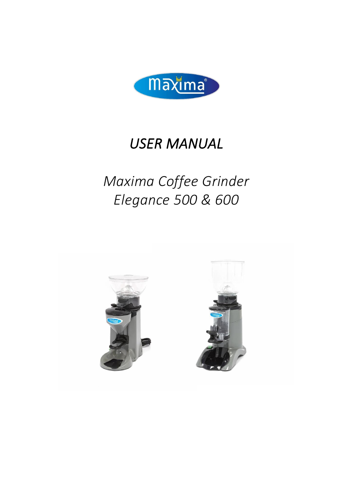

# *USER MANUAL*

# *Maxima Coffee Grinder Elegance 500 & 600*

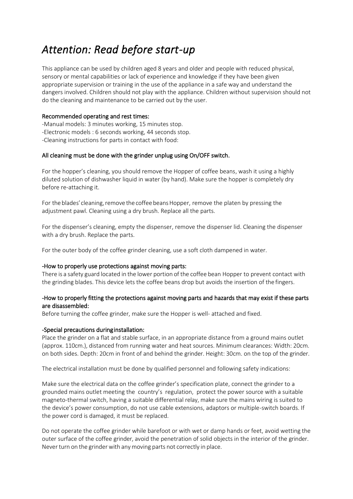### *Attention: Read before start-up*

This appliance can be used by children aged 8 years and older and people with reduced physical, sensory or mental capabilities or lack of experience and knowledge if they have been given appropriate supervision or training in the use of the appliance in a safe way and understand the dangers involved. Children should not play with the appliance. Children without supervision should not do the cleaning and maintenance to be carried out by the user.

#### Recommended operating and rest times:

-Manual models: 3 minutes working, 15 minutes stop. -Electronic models : 6 seconds working, 44 seconds stop. -Cleaning instructions for parts in contact with food:

### All cleaning must be done with the grinder unplug using On/OFF switch.

For the hopper's cleaning, you should remove the Hopper of coffee beans, wash it using a highly diluted solution of dishwasher liquid in water (by hand). Make sure the hopper is completely dry before re-attaching it.

For the blades' cleaning, remove the coffee beans Hopper, remove the platen by pressing the adjustment pawl. Cleaning using a dry brush. Replace all the parts.

For the dispenser's cleaning, empty the dispenser, remove the dispenser lid. Cleaning the dispenser with a dry brush. Replace the parts.

For the outer body of the coffee grinder cleaning, use a soft cloth dampened in water.

#### -How to properly use protections against moving parts:

There is a safety guard located in the lower portion of the coffee bean Hopper to prevent contact with the grinding blades. This device lets the coffee beans drop but avoids the insertion of the fingers.

#### -How to properly fitting the protections against moving parts and hazards that may exist if these parts are disassembled:

Before turning the coffee grinder, make sure the Hopper is well- attached and fixed.

#### -Special precautions during installation:

Place the grinder on a flat and stable surface, in an appropriate distance from a ground mains outlet (approx. 110cm.), distanced from running water and heat sources. Minimum clearances: Width: 20cm. on both sides. Depth: 20cm in front of and behind the grinder. Height: 30cm. on the top of the grinder.

The electrical installation must be done by qualified personnel and following safety indications:

Make sure the electrical data on the coffee grinder's specification plate, connect the grinder to a grounded mains outlet meeting the country's regulation, protect the power source with a suitable magneto-thermal switch, having a suitable differential relay, make sure the mains wiring is suited to the device's power consumption, do not use cable extensions, adaptors or multiple-switch boards. If the power cord is damaged, it must be replaced.

Do not operate the coffee grinder while barefoot or with wet or damp hands or feet, avoid wetting the outer surface of the coffee grinder, avoid the penetration of solid objects in the interior of the grinder. Never turn on the grinder with any moving parts not correctly in place.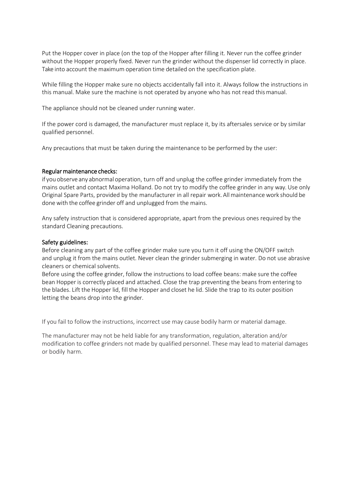Put the Hopper cover in place (on the top of the Hopper after filling it. Never run the coffee grinder without the Hopper properly fixed. Never run the grinder without the dispenser lid correctly in place. Take into account the maximum operation time detailed on the specification plate.

While filling the Hopper make sure no objects accidentally fall into it. Always follow the instructions in this manual. Make sure the machine is not operated by anyone who has not read thismanual.

The appliance should not be cleaned under running water.

If the power cord is damaged, the manufacturer must replace it, by its aftersales service or by similar qualified personnel.

Any precautions that must be taken during the maintenance to be performed by the user:

#### Regular maintenance checks:

if you observe any abnormal operation, turn off and unplug the coffee grinder immediately from the mains outlet and contact Maxima Holland. Do not try to modify the coffee grinder in any way. Use only Original Spare Parts, provided by the manufacturer in all repair work.Allmaintenancework should be done with the coffee grinder off and unplugged from the mains.

Any safety instruction that is considered appropriate, apart from the previous ones required by the standard Cleaning precautions.

#### Safety guidelines:

Before cleaning any part of the coffee grinder make sure you turn it off using the ON/OFF switch and unplug it from the mains outlet. Never clean the grinder submerging in water. Do not use abrasive cleaners or chemical solvents.

Before using the coffee grinder, follow the instructions to load coffee beans: make sure the coffee bean Hopper is correctly placed and attached. Close the trap preventing the beans from entering to the blades. Lift the Hopper lid, fill the Hopper and closet he lid. Slide the trap to its outer position letting the beans drop into the grinder.

If you fail to follow the instructions, incorrect use may cause bodily harm or material damage.

The manufacturer may not be held liable for any transformation, regulation, alteration and/or modification to coffee grinders not made by qualified personnel. These may lead to material damages or bodily harm.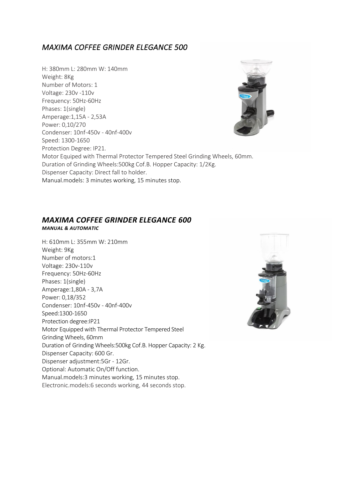### *MAXIMA COFFEE GRINDER ELEGANCE 500*

H: 380mm L: 280mm W: 140mm Weight: 8Kg Number of Motors: 1 Voltage: 230v -110v Frequency: 50Hz-60Hz Phases: 1(single) Amperage:1,15A - 2,53A Power: 0,10/270 Condenser: 10nf-450v - 40nf-400v Speed: 1300-1650 Protection Degree: IP21. Motor Equiped with Thermal Protector Tempered Steel Grinding Wheels, 60mm. Duration of Grinding Wheels:500kg Cof.B. Hopper Capacity: 1/2Kg. Dispenser Capacity: Direct fall to holder. Manual.models: 3 minutes working, 15 minutes stop.

#### *MAXIMA COFFEE GRINDER ELEGANCE 600 MANUAL & AUTOMATIC*

H: 610mm L: 355mm W: 210mm Weight: 9Kg Number of motors:1 Voltage: 230v-110v Frequency: 50Hz-60Hz Phases: 1(single) Amperage:1,80A - 3,7A Power: 0,18/352 Condenser: 10nf-450v - 40nf-400v Speed:1300-1650 Protection degree:IP21 Motor Equipped with Thermal Protector Tempered Steel Grinding Wheels, 60mm Duration of Grinding Wheels:500kg Cof.B. Hopper Capacity: 2 Kg. Dispenser Capacity: 600 Gr. Dispenser adjustment:5Gr - 12Gr. Optional: Automatic On/Off function. Manual.models:3 minutes working, 15 minutes stop. Electronic.models:6 seconds working, 44 seconds stop.

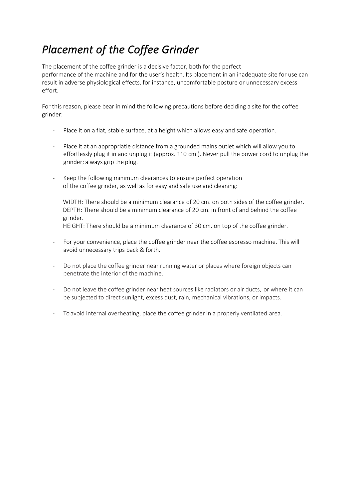## *Placement of the Coffee Grinder*

The placement of the coffee grinder is a decisive factor, both for the perfect performance of the machine and for the user's health. Its placement in an inadequate site for use can result in adverse physiological effects, for instance, uncomfortable posture or unnecessary excess effort.

For this reason, please bear in mind the following precautions before deciding a site for the coffee grinder:

- Place it on a flat, stable surface, at a height which allows easy and safe operation.
- Place it at an appropriatie distance from a grounded mains outlet which will allow you to effortlessly plug it in and unplug it (approx. 110 cm.). Never pull the power cord to unplug the grinder; always grip the plug.
- Keep the following minimum clearances to ensure perfect operation of the coffee grinder, as well as for easy and safe use and cleaning:

WIDTH: There should be a minimum clearance of 20 cm. on both sides of the coffee grinder. DEPTH: There should be a minimum clearance of 20 cm. in front of and behind the coffee grinder.

HEIGHT: There should be a minimum clearance of 30 cm. on top of the coffee grinder.

- For your convenience, place the coffee grinder near the coffee espresso machine. This will avoid unnecessary trips back & forth.
- Do not place the coffee grinder near running water or places where foreign objects can penetrate the interior of the machine.
- Do not leave the coffee grinder near heat sources like radiators or air ducts, or where it can be subjected to direct sunlight, excess dust, rain, mechanical vibrations, or impacts.
- To avoid internal overheating, place the coffee grinder in a properly ventilated area.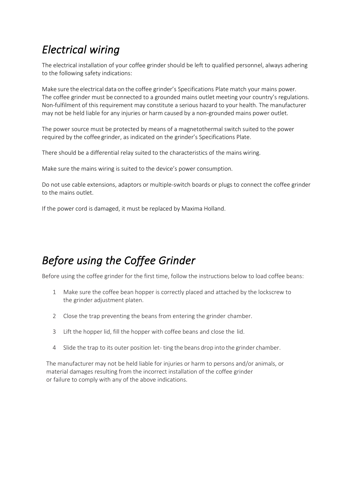### *Electrical wiring*

The electrical installation of your coffee grinder should be left to qualified personnel, always adhering to the following safety indications:

Make sure the electrical data on the coffee grinder's Specifications Plate match your mains power. The coffee grinder must be connected to a grounded mains outlet meeting your country's regulations. Non-fulfilment of this requirement may constitute a serious hazard to your health. The manufacturer may not be held liable for any injuries or harm caused by a non-grounded mains power outlet.

The power source must be protected by means of a magnetothermal switch suited to the power required by the coffee grinder, as indicated on the grinder's Specifications Plate.

There should be a differential relay suited to the characteristics of the mains wiring.

Make sure the mains wiring is suited to the device's power consumption.

Do not use cable extensions, adaptors or multiple-switch boards or plugs to connect the coffee grinder to the mains outlet.

If the power cord is damaged, it must be replaced by Maxima Holland.

### *Before using the Coffee Grinder*

Before using the coffee grinder for the first time, follow the instructions below to load coffee beans:

- 1 Make sure the coffee bean hopper is correctly placed and attached by the lockscrew to the grinder adjustment platen.
- 2 Close the trap preventing the beans from entering the grinder chamber.
- 3 Lift the hopper lid, fill the hopper with coffee beans and close the lid.
- 4 Slide the trap to its outer position let- ting the beans drop into the grinder chamber.

The manufacturer may not be held liable for injuries or harm to persons and/or animals, or material damages resulting from the incorrect installation of the coffee grinder or failure to comply with any of the above indications.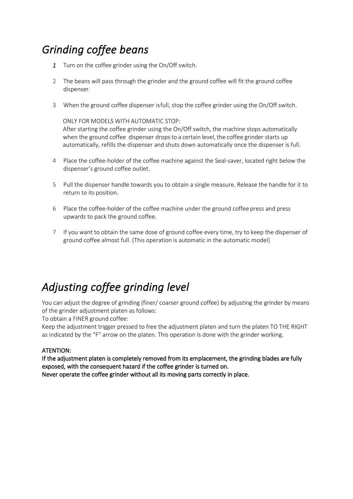## *Grinding coffee beans*

- *1* Turn on the coffee grinder using the On/Off switch.
- 2 The beans will pass through the grinder and the ground coffee will fit the ground coffee dispenser.
- 3 When the ground coffee dispenser isfull, stop the coffee grinder using the On/Off switch.

ONLY FOR MODELS WITH AUTOMATIC STOP:

After starting the coffee grinder using the On/Off switch, the machine stops automatically when the ground coffee dispenser drops to a certain level, the coffee grinder starts up automatically, refills the dispenser and shuts down automatically once the dispenser is full.

- 4 Place the coffee-holder of the coffee machine against the Seal-saver, located right below the dispenser's ground coffee outlet.
- 5 Pull the dispenser handle towards you to obtain a single measure. Release the handle for it to return to its position.
- 6 Place the coffee-holder of the coffee machine under the ground coffee press and press upwards to pack the ground coffee.
- 7 If you want to obtain the same dose of ground coffee every time, try to keep the dispenser of ground coffee almost full. (This operation is automatic in the automatic model)

# *Adjusting coffee grinding level*

You can adjust the degree of grinding (finer/ coarser ground coffee) by adjusting the grinder by means of the grinder adjustment platen as follows:

To obtain a FINER ground coffee:

Keep the adjustment trigger pressed to free the adjustment platen and turn the platen TO THE RIGHT as indicated by the "F" arrow on the platen. This operation is done with the grinder working.

#### ATENTION:

If the adjustment platen is completely removed from its emplacement, the grinding blades are fully exposed, with the consequent hazard if the coffee grinder is turned on. Never operate the coffee grinder without all its moving parts correctly in place.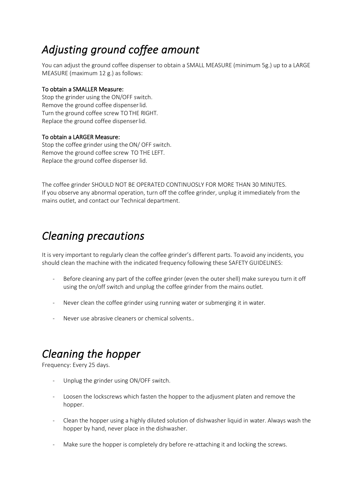## *Adjusting ground coffee amount*

You can adjust the ground coffee dispenser to obtain a SMALL MEASURE (minimum 5g.) up to a LARGE MEASURE (maximum 12 g.) as follows:

#### To obtain a SMALLER Measure:

Stop the grinder using the ON/OFF switch. Remove the ground coffee dispenserlid. Turn the ground coffee screw TOTHE RIGHT. Replace the ground coffee dispenserlid.

#### To obtain a LARGER Measure:

Stop the coffee grinder using the ON/ OFF switch. Remove the ground coffee screw TO THE LEFT. Replace the ground coffee dispenser lid.

The coffee grinder SHOULD NOT BE OPERATED CONTINUOSLY FOR MORE THAN 30 MINUTES. If you observe any abnormal operation, turn off the coffee grinder, unplug it immediately from the mains outlet, and contact our Technical department.

### *Cleaning precautions*

It is very important to regularly clean the coffee grinder's different parts. To avoid any incidents, you should clean the machine with the indicated frequency following these SAFETY GUIDELINES:

- Before cleaning any part of the coffee grinder (even the outer shell) make sure you turn it off using the on/off switch and unplug the coffee grinder from the mains outlet.
- Never clean the coffee grinder using running water or submerging it in water.
- Never use abrasive cleaners or chemical solvents..

### *Cleaning the hopper*

Frequency: Every 25 days.

- Unplug the grinder using ON/OFF switch.
- Loosen the lockscrews which fasten the hopper to the adjusment platen and remove the hopper.
- Clean the hopper using a highly diluted solution of dishwasher liquid in water. Always wash the hopper by hand, never place in the dishwasher.
- Make sure the hopper is completely dry before re-attaching it and locking the screws.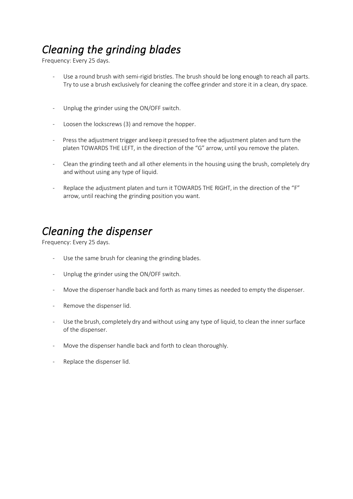# *Cleaning the grinding blades*

Frequency: Every 25 days.

- Use a round brush with semi-rigid bristles. The brush should be long enough to reach all parts. Try to use a brush exclusively for cleaning the coffee grinder and store it in a clean, dry space.
- Unplug the grinder using the ON/OFF switch.
- Loosen the lockscrews (3) and remove the hopper.
- Press the adjustment trigger and keep it pressed to free the adjustment platen and turn the platen TOWARDS THE LEFT, in the direction of the "G" arrow, until you remove the platen.
- Clean the grinding teeth and all other elements in the housing using the brush, completely dry and without using any type of liquid.
- Replace the adjustment platen and turn it TOWARDS THE RIGHT, in the direction of the "F" arrow, until reaching the grinding position you want.

### *Cleaning the dispenser*

Frequency: Every 25 days.

- Use the same brush for cleaning the grinding blades.
- Unplug the grinder using the ON/OFF switch.
- Move the dispenser handle back and forth as many times as needed to empty the dispenser.
- Remove the dispenser lid.
- Use the brush, completely dry and without using any type of liquid, to clean the inner surface of the dispenser.
- Move the dispenser handle back and forth to clean thoroughly.
- Replace the dispenser lid.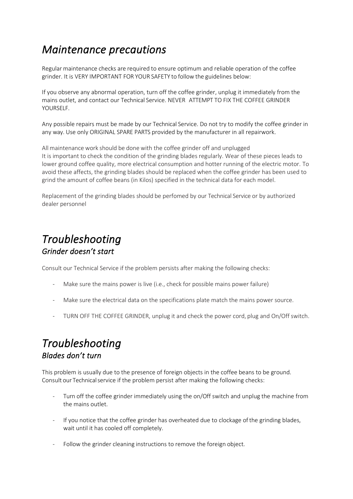### *Maintenance precautions*

Regular maintenance checks are required to ensure optimum and reliable operation of the coffee grinder. It is VERY IMPORTANT FOR YOUR SAFETY to follow the guidelines below:

If you observe any abnormal operation, turn off the coffee grinder, unplug it immediately from the mains outlet, and contact our Technical Service. NEVER ATTEMPT TO FIX THE COFFEE GRINDER YOURSELF.

Any possible repairs must be made by our Technical Service. Do not try to modify the coffee grinder in any way. Use only ORIGINAL SPARE PARTS provided by the manufacturer in all repairwork.

All maintenance work should be done with the coffee grinder off and unplugged It is important to check the condition of the grinding blades regularly. Wear of these pieces leads to lower ground coffee quality, more electrical consumption and hotter running of the electric motor. To avoid these affects, the grinding blades should be replaced when the coffee grinder has been used to grind the amount of coffee beans (in Kilos) specified in the technical data for each model.

Replacement of the grinding blades should be perfomed by our Technical Service or by authorized dealer personnel

### *Troubleshooting Grinder doesn't start*

Consult our Technical Service if the problem persists after making the following checks:

- Make sure the mains power is live (i.e., check for possible mains power failure)
- Make sure the electrical data on the specifications plate match the mains power source.
- TURN OFF THE COFFEE GRINDER, unplug it and check the power cord, plug and On/Off switch.

### *Troubleshooting Blades don't turn*

This problem is usually due to the presence of foreign objects in the coffee beans to be ground. Consult our Technicalservice if the problem persist after making the following checks:

- Turn off the coffee grinder immediately using the on/Off switch and unplug the machine from the mains outlet.
- If you notice that the coffee grinder has overheated due to clockage of the grinding blades, wait until it has cooled off completely.
- Follow the grinder cleaning instructions to remove the foreign object.